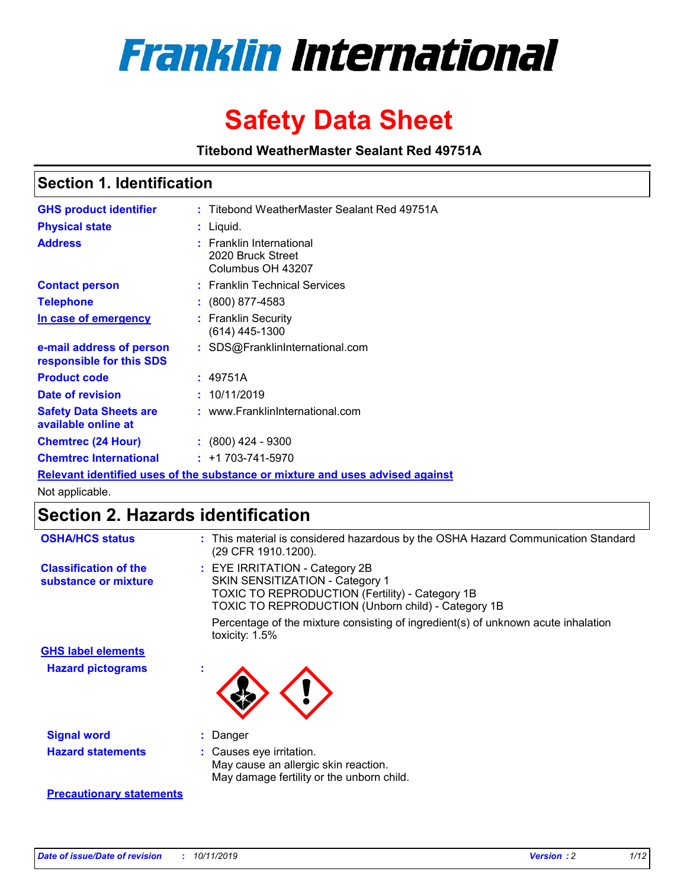

# **Safety Data Sheet**

**Titebond WeatherMaster Sealant Red 49751A**

### **Section 1. Identification**

| <b>GHS product identifier</b>                        | : Titebond WeatherMaster Sealant Red 49751A                                   |
|------------------------------------------------------|-------------------------------------------------------------------------------|
| <b>Physical state</b>                                | : Liquid.                                                                     |
| <b>Address</b>                                       | : Franklin International<br>2020 Bruck Street<br>Columbus OH 43207            |
| <b>Contact person</b>                                | : Franklin Technical Services                                                 |
| <b>Telephone</b>                                     | $\div$ (800) 877-4583                                                         |
| In case of emergency                                 | : Franklin Security<br>(614) 445-1300                                         |
| e-mail address of person<br>responsible for this SDS | : SDS@FranklinInternational.com                                               |
| <b>Product code</b>                                  | : 49751A                                                                      |
| Date of revision                                     | : 10/11/2019                                                                  |
| <b>Safety Data Sheets are</b><br>available online at | : www.FranklinInternational.com                                               |
| <b>Chemtrec (24 Hour)</b>                            | $\div$ (800) 424 - 9300                                                       |
| <b>Chemtrec International</b>                        | $: +1703 - 741 - 5970$                                                        |
|                                                      | Relevant identified uses of the substance or mixture and uses advised against |

Not applicable.

## **Section 2. Hazards identification**

| <b>OSHA/HCS status</b>                               | : This material is considered hazardous by the OSHA Hazard Communication Standard<br>(29 CFR 1910.1200).                                                                                 |
|------------------------------------------------------|------------------------------------------------------------------------------------------------------------------------------------------------------------------------------------------|
| <b>Classification of the</b><br>substance or mixture | : EYE IRRITATION - Category 2B<br>SKIN SENSITIZATION - Category 1<br><b>TOXIC TO REPRODUCTION (Fertility) - Category 1B</b><br><b>TOXIC TO REPRODUCTION (Unborn child) - Category 1B</b> |
|                                                      | Percentage of the mixture consisting of ingredient(s) of unknown acute inhalation<br>toxicity: $1.5\%$                                                                                   |
| <b>GHS label elements</b>                            |                                                                                                                                                                                          |
| <b>Hazard pictograms</b>                             |                                                                                                                                                                                          |
| <b>Signal word</b>                                   | : Danger                                                                                                                                                                                 |
| <b>Hazard statements</b>                             | : Causes eye irritation.<br>May cause an allergic skin reaction.<br>May damage fertility or the unborn child.                                                                            |
| <b>Precautionary statements</b>                      |                                                                                                                                                                                          |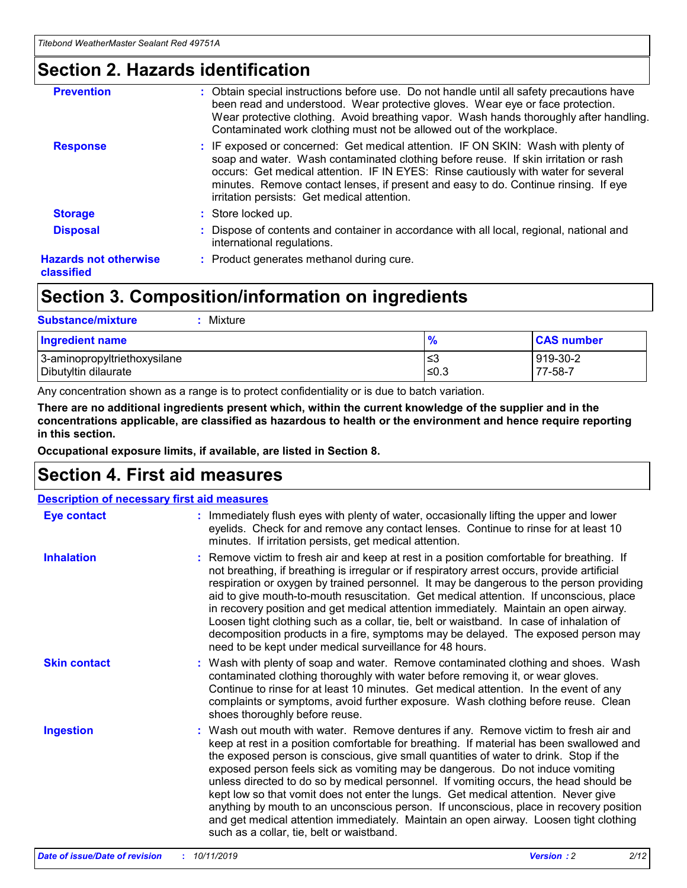## **Section 2. Hazards identification**

| <b>Prevention</b>                          | : Obtain special instructions before use. Do not handle until all safety precautions have<br>been read and understood. Wear protective gloves. Wear eye or face protection.<br>Wear protective clothing. Avoid breathing vapor. Wash hands thoroughly after handling.<br>Contaminated work clothing must not be allowed out of the workplace.                                                        |
|--------------------------------------------|------------------------------------------------------------------------------------------------------------------------------------------------------------------------------------------------------------------------------------------------------------------------------------------------------------------------------------------------------------------------------------------------------|
| <b>Response</b>                            | : IF exposed or concerned: Get medical attention. IF ON SKIN: Wash with plenty of<br>soap and water. Wash contaminated clothing before reuse. If skin irritation or rash<br>occurs: Get medical attention. IF IN EYES: Rinse cautiously with water for several<br>minutes. Remove contact lenses, if present and easy to do. Continue rinsing. If eye<br>irritation persists: Get medical attention. |
| <b>Storage</b>                             | : Store locked up.                                                                                                                                                                                                                                                                                                                                                                                   |
| <b>Disposal</b>                            | : Dispose of contents and container in accordance with all local, regional, national and<br>international regulations.                                                                                                                                                                                                                                                                               |
| <b>Hazards not otherwise</b><br>classified | : Product generates methanol during cure.                                                                                                                                                                                                                                                                                                                                                            |
|                                            |                                                                                                                                                                                                                                                                                                                                                                                                      |

## **Section 3. Composition/information on ingredients**

| <b>Substance/mixture</b><br>Mixture                  |                   |                     |
|------------------------------------------------------|-------------------|---------------------|
| <b>Ingredient name</b>                               | $\frac{9}{6}$     | <b>CAS number</b>   |
| 3-aminopropyltriethoxysilane<br>Dibutyltin dilaurate | l≤3<br>$\leq 0.3$ | 919-30-2<br>77-58-7 |

Any concentration shown as a range is to protect confidentiality or is due to batch variation.

**There are no additional ingredients present which, within the current knowledge of the supplier and in the concentrations applicable, are classified as hazardous to health or the environment and hence require reporting in this section.**

**Occupational exposure limits, if available, are listed in Section 8.**

## **Section 4. First aid measures**

| <b>Description of necessary first aid measures</b> |                                                                                                                                                                                                                                                                                                                                                                                                                                                                                                                                                                                                                                                                                                                                                                           |  |  |  |
|----------------------------------------------------|---------------------------------------------------------------------------------------------------------------------------------------------------------------------------------------------------------------------------------------------------------------------------------------------------------------------------------------------------------------------------------------------------------------------------------------------------------------------------------------------------------------------------------------------------------------------------------------------------------------------------------------------------------------------------------------------------------------------------------------------------------------------------|--|--|--|
| <b>Eye contact</b>                                 | : Immediately flush eyes with plenty of water, occasionally lifting the upper and lower<br>eyelids. Check for and remove any contact lenses. Continue to rinse for at least 10<br>minutes. If irritation persists, get medical attention.                                                                                                                                                                                                                                                                                                                                                                                                                                                                                                                                 |  |  |  |
| <b>Inhalation</b>                                  | : Remove victim to fresh air and keep at rest in a position comfortable for breathing. If<br>not breathing, if breathing is irregular or if respiratory arrest occurs, provide artificial<br>respiration or oxygen by trained personnel. It may be dangerous to the person providing<br>aid to give mouth-to-mouth resuscitation. Get medical attention. If unconscious, place<br>in recovery position and get medical attention immediately. Maintain an open airway.<br>Loosen tight clothing such as a collar, tie, belt or waistband. In case of inhalation of<br>decomposition products in a fire, symptoms may be delayed. The exposed person may<br>need to be kept under medical surveillance for 48 hours.                                                       |  |  |  |
| <b>Skin contact</b>                                | : Wash with plenty of soap and water. Remove contaminated clothing and shoes. Wash<br>contaminated clothing thoroughly with water before removing it, or wear gloves.<br>Continue to rinse for at least 10 minutes. Get medical attention. In the event of any<br>complaints or symptoms, avoid further exposure. Wash clothing before reuse. Clean<br>shoes thoroughly before reuse.                                                                                                                                                                                                                                                                                                                                                                                     |  |  |  |
| <b>Ingestion</b>                                   | : Wash out mouth with water. Remove dentures if any. Remove victim to fresh air and<br>keep at rest in a position comfortable for breathing. If material has been swallowed and<br>the exposed person is conscious, give small quantities of water to drink. Stop if the<br>exposed person feels sick as vomiting may be dangerous. Do not induce vomiting<br>unless directed to do so by medical personnel. If vomiting occurs, the head should be<br>kept low so that vomit does not enter the lungs. Get medical attention. Never give<br>anything by mouth to an unconscious person. If unconscious, place in recovery position<br>and get medical attention immediately. Maintain an open airway. Loosen tight clothing<br>such as a collar, tie, belt or waistband. |  |  |  |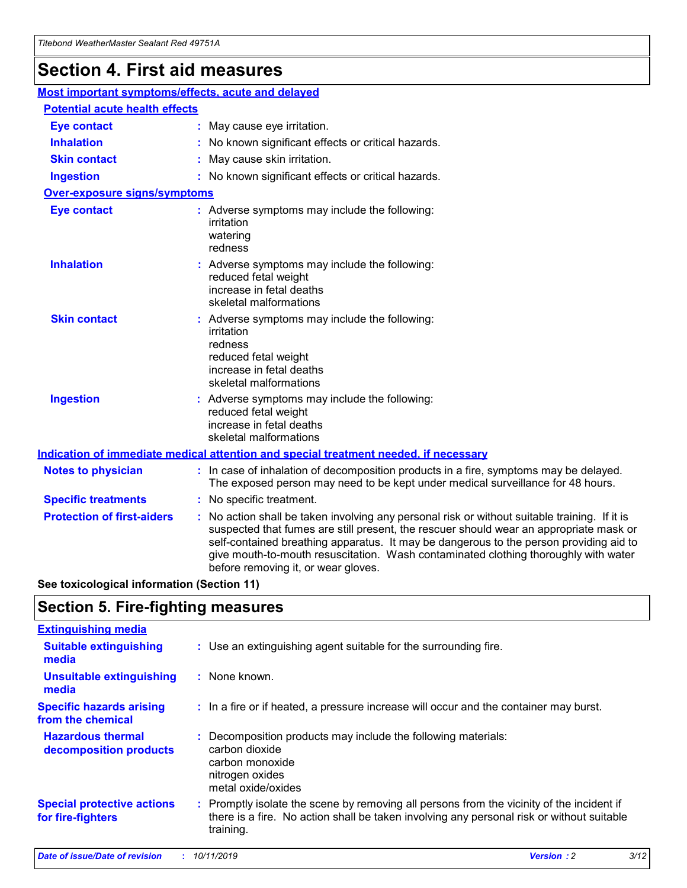## **Section 4. First aid measures**

| Most important symptoms/effects, acute and delayed |                                       |                                                                                                                                                                                                                                                                                                                                                                                                                 |  |  |  |
|----------------------------------------------------|---------------------------------------|-----------------------------------------------------------------------------------------------------------------------------------------------------------------------------------------------------------------------------------------------------------------------------------------------------------------------------------------------------------------------------------------------------------------|--|--|--|
|                                                    | <b>Potential acute health effects</b> |                                                                                                                                                                                                                                                                                                                                                                                                                 |  |  |  |
| <b>Eye contact</b>                                 |                                       | : May cause eye irritation.                                                                                                                                                                                                                                                                                                                                                                                     |  |  |  |
| <b>Inhalation</b>                                  |                                       | : No known significant effects or critical hazards.                                                                                                                                                                                                                                                                                                                                                             |  |  |  |
| <b>Skin contact</b>                                |                                       | : May cause skin irritation.                                                                                                                                                                                                                                                                                                                                                                                    |  |  |  |
| <b>Ingestion</b>                                   |                                       | : No known significant effects or critical hazards.                                                                                                                                                                                                                                                                                                                                                             |  |  |  |
| Over-exposure signs/symptoms                       |                                       |                                                                                                                                                                                                                                                                                                                                                                                                                 |  |  |  |
| <b>Eye contact</b>                                 |                                       | : Adverse symptoms may include the following:<br>irritation<br>watering<br>redness                                                                                                                                                                                                                                                                                                                              |  |  |  |
| <b>Inhalation</b>                                  |                                       | : Adverse symptoms may include the following:<br>reduced fetal weight<br>increase in fetal deaths<br>skeletal malformations                                                                                                                                                                                                                                                                                     |  |  |  |
| <b>Skin contact</b>                                |                                       | : Adverse symptoms may include the following:<br>irritation<br>redness<br>reduced fetal weight<br>increase in fetal deaths<br>skeletal malformations                                                                                                                                                                                                                                                            |  |  |  |
| <b>Ingestion</b>                                   |                                       | : Adverse symptoms may include the following:<br>reduced fetal weight<br>increase in fetal deaths<br>skeletal malformations                                                                                                                                                                                                                                                                                     |  |  |  |
|                                                    |                                       | <b>Indication of immediate medical attention and special treatment needed, if necessary</b>                                                                                                                                                                                                                                                                                                                     |  |  |  |
| <b>Notes to physician</b>                          |                                       | : In case of inhalation of decomposition products in a fire, symptoms may be delayed.<br>The exposed person may need to be kept under medical surveillance for 48 hours.                                                                                                                                                                                                                                        |  |  |  |
| <b>Specific treatments</b>                         |                                       | : No specific treatment.                                                                                                                                                                                                                                                                                                                                                                                        |  |  |  |
| <b>Protection of first-aiders</b>                  |                                       | : No action shall be taken involving any personal risk or without suitable training. If it is<br>suspected that fumes are still present, the rescuer should wear an appropriate mask or<br>self-contained breathing apparatus. It may be dangerous to the person providing aid to<br>give mouth-to-mouth resuscitation. Wash contaminated clothing thoroughly with water<br>before removing it, or wear gloves. |  |  |  |

**See toxicological information (Section 11)**

## **Section 5. Fire-fighting measures**

| <b>Extinguishing media</b>                             |                                                                                                                                                                                                     |
|--------------------------------------------------------|-----------------------------------------------------------------------------------------------------------------------------------------------------------------------------------------------------|
| <b>Suitable extinguishing</b><br>media                 | : Use an extinguishing agent suitable for the surrounding fire.                                                                                                                                     |
| <b>Unsuitable extinguishing</b><br>media               | $:$ None known.                                                                                                                                                                                     |
| <b>Specific hazards arising</b><br>from the chemical   | : In a fire or if heated, a pressure increase will occur and the container may burst.                                                                                                               |
| <b>Hazardous thermal</b><br>decomposition products     | : Decomposition products may include the following materials:<br>carbon dioxide<br>carbon monoxide<br>nitrogen oxides<br>metal oxide/oxides                                                         |
| <b>Special protective actions</b><br>for fire-fighters | : Promptly isolate the scene by removing all persons from the vicinity of the incident if<br>there is a fire. No action shall be taken involving any personal risk or without suitable<br>training. |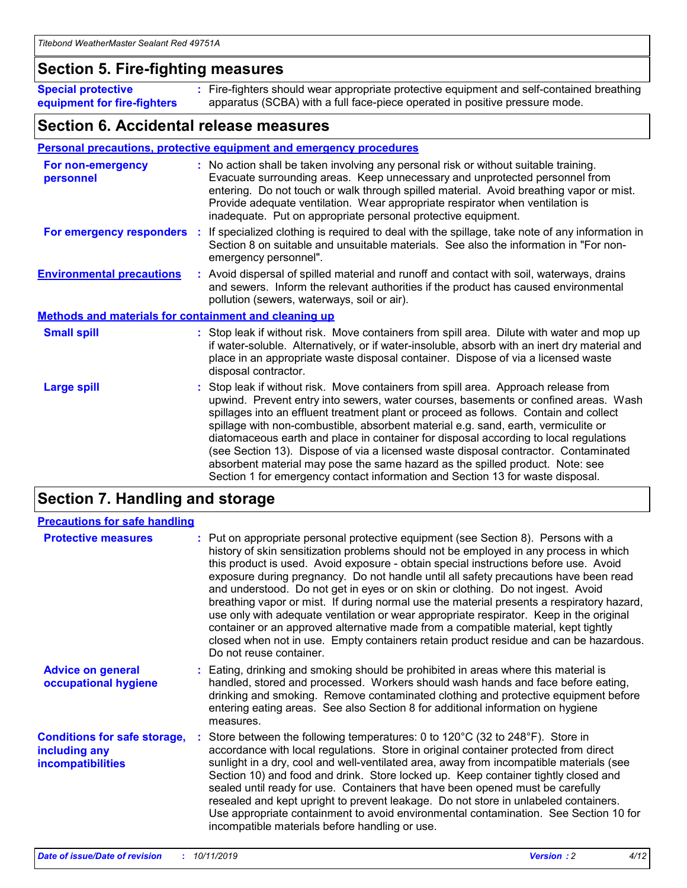### **Section 5. Fire-fighting measures**

**Special protective equipment for fire-fighters** Fire-fighters should wear appropriate protective equipment and self-contained breathing **:** apparatus (SCBA) with a full face-piece operated in positive pressure mode.

### **Section 6. Accidental release measures**

#### **Personal precautions, protective equipment and emergency procedures**

| For non-emergency<br>personnel                               | : No action shall be taken involving any personal risk or without suitable training.<br>Evacuate surrounding areas. Keep unnecessary and unprotected personnel from<br>entering. Do not touch or walk through spilled material. Avoid breathing vapor or mist.<br>Provide adequate ventilation. Wear appropriate respirator when ventilation is<br>inadequate. Put on appropriate personal protective equipment.                                                                                                                                                                                                                                                                                             |
|--------------------------------------------------------------|--------------------------------------------------------------------------------------------------------------------------------------------------------------------------------------------------------------------------------------------------------------------------------------------------------------------------------------------------------------------------------------------------------------------------------------------------------------------------------------------------------------------------------------------------------------------------------------------------------------------------------------------------------------------------------------------------------------|
| For emergency responders                                     | : If specialized clothing is required to deal with the spillage, take note of any information in<br>Section 8 on suitable and unsuitable materials. See also the information in "For non-<br>emergency personnel".                                                                                                                                                                                                                                                                                                                                                                                                                                                                                           |
| <b>Environmental precautions</b>                             | : Avoid dispersal of spilled material and runoff and contact with soil, waterways, drains<br>and sewers. Inform the relevant authorities if the product has caused environmental<br>pollution (sewers, waterways, soil or air).                                                                                                                                                                                                                                                                                                                                                                                                                                                                              |
| <b>Methods and materials for containment and cleaning up</b> |                                                                                                                                                                                                                                                                                                                                                                                                                                                                                                                                                                                                                                                                                                              |
| <b>Small spill</b>                                           | : Stop leak if without risk. Move containers from spill area. Dilute with water and mop up<br>if water-soluble. Alternatively, or if water-insoluble, absorb with an inert dry material and<br>place in an appropriate waste disposal container. Dispose of via a licensed waste<br>disposal contractor.                                                                                                                                                                                                                                                                                                                                                                                                     |
| <b>Large spill</b>                                           | : Stop leak if without risk. Move containers from spill area. Approach release from<br>upwind. Prevent entry into sewers, water courses, basements or confined areas. Wash<br>spillages into an effluent treatment plant or proceed as follows. Contain and collect<br>spillage with non-combustible, absorbent material e.g. sand, earth, vermiculite or<br>diatomaceous earth and place in container for disposal according to local regulations<br>(see Section 13). Dispose of via a licensed waste disposal contractor. Contaminated<br>absorbent material may pose the same hazard as the spilled product. Note: see<br>Section 1 for emergency contact information and Section 13 for waste disposal. |

## **Section 7. Handling and storage**

| <b>Precautions for safe handling</b>                                             |                                                                                                                                                                                                                                                                                                                                                                                                                                                                                                                                                                                                                                                                                                                                                                                                                                                  |
|----------------------------------------------------------------------------------|--------------------------------------------------------------------------------------------------------------------------------------------------------------------------------------------------------------------------------------------------------------------------------------------------------------------------------------------------------------------------------------------------------------------------------------------------------------------------------------------------------------------------------------------------------------------------------------------------------------------------------------------------------------------------------------------------------------------------------------------------------------------------------------------------------------------------------------------------|
| <b>Protective measures</b>                                                       | : Put on appropriate personal protective equipment (see Section 8). Persons with a<br>history of skin sensitization problems should not be employed in any process in which<br>this product is used. Avoid exposure - obtain special instructions before use. Avoid<br>exposure during pregnancy. Do not handle until all safety precautions have been read<br>and understood. Do not get in eyes or on skin or clothing. Do not ingest. Avoid<br>breathing vapor or mist. If during normal use the material presents a respiratory hazard,<br>use only with adequate ventilation or wear appropriate respirator. Keep in the original<br>container or an approved alternative made from a compatible material, kept tightly<br>closed when not in use. Empty containers retain product residue and can be hazardous.<br>Do not reuse container. |
| <b>Advice on general</b><br>occupational hygiene                                 | : Eating, drinking and smoking should be prohibited in areas where this material is<br>handled, stored and processed. Workers should wash hands and face before eating,<br>drinking and smoking. Remove contaminated clothing and protective equipment before<br>entering eating areas. See also Section 8 for additional information on hygiene<br>measures.                                                                                                                                                                                                                                                                                                                                                                                                                                                                                    |
| <b>Conditions for safe storage,</b><br>including any<br><b>incompatibilities</b> | : Store between the following temperatures: 0 to 120 $\degree$ C (32 to 248 $\degree$ F). Store in<br>accordance with local regulations. Store in original container protected from direct<br>sunlight in a dry, cool and well-ventilated area, away from incompatible materials (see<br>Section 10) and food and drink. Store locked up. Keep container tightly closed and<br>sealed until ready for use. Containers that have been opened must be carefully<br>resealed and kept upright to prevent leakage. Do not store in unlabeled containers.<br>Use appropriate containment to avoid environmental contamination. See Section 10 for<br>incompatible materials before handling or use.                                                                                                                                                   |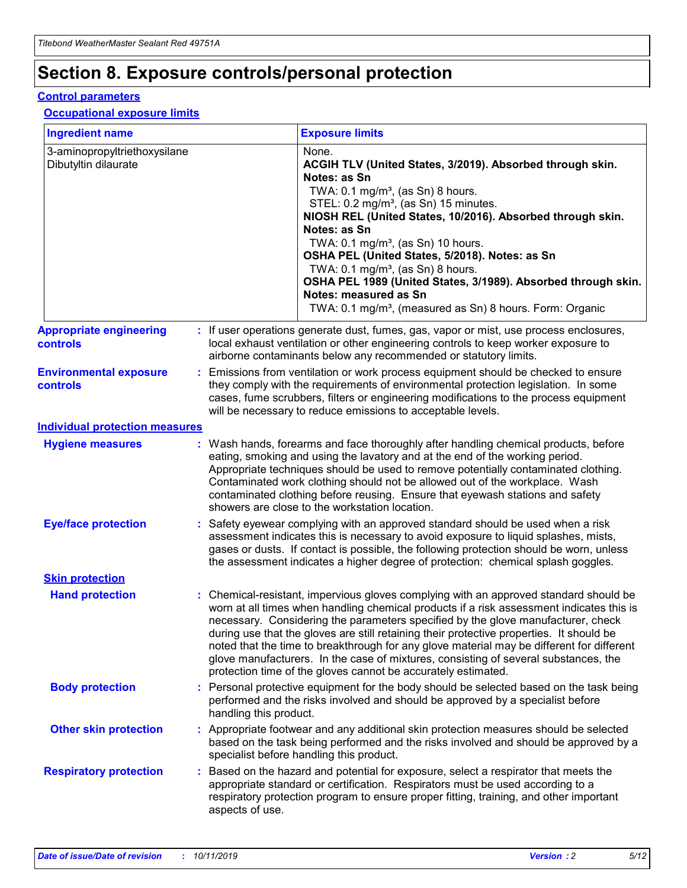## **Section 8. Exposure controls/personal protection**

#### **Control parameters**

#### **Occupational exposure limits**

| <b>Ingredient name</b>                               |    |                        | <b>Exposure limits</b>                                                                                                                                                                                                                                                                                                                                                                                                                                                                                                                                                                                                 |
|------------------------------------------------------|----|------------------------|------------------------------------------------------------------------------------------------------------------------------------------------------------------------------------------------------------------------------------------------------------------------------------------------------------------------------------------------------------------------------------------------------------------------------------------------------------------------------------------------------------------------------------------------------------------------------------------------------------------------|
| 3-aminopropyltriethoxysilane<br>Dibutyltin dilaurate |    |                        | None.<br>ACGIH TLV (United States, 3/2019). Absorbed through skin.<br>Notes: as Sn<br>TWA: 0.1 mg/m <sup>3</sup> , (as Sn) 8 hours.<br>STEL: 0.2 mg/m <sup>3</sup> , (as Sn) 15 minutes.<br>NIOSH REL (United States, 10/2016). Absorbed through skin.<br>Notes: as Sn<br>TWA: 0.1 mg/m <sup>3</sup> , (as Sn) 10 hours.<br>OSHA PEL (United States, 5/2018). Notes: as Sn<br>TWA: $0.1 \text{ mg/m}^3$ , (as Sn) 8 hours.<br>OSHA PEL 1989 (United States, 3/1989). Absorbed through skin.<br>Notes: measured as Sn<br>TWA: 0.1 mg/m <sup>3</sup> , (measured as Sn) 8 hours. Form: Organic                           |
| <b>Appropriate engineering</b><br>controls           |    |                        | : If user operations generate dust, fumes, gas, vapor or mist, use process enclosures,<br>local exhaust ventilation or other engineering controls to keep worker exposure to<br>airborne contaminants below any recommended or statutory limits.                                                                                                                                                                                                                                                                                                                                                                       |
| <b>Environmental exposure</b><br><b>controls</b>     |    |                        | Emissions from ventilation or work process equipment should be checked to ensure<br>they comply with the requirements of environmental protection legislation. In some<br>cases, fume scrubbers, filters or engineering modifications to the process equipment<br>will be necessary to reduce emissions to acceptable levels.                                                                                                                                                                                                                                                                                          |
| <b>Individual protection measures</b>                |    |                        |                                                                                                                                                                                                                                                                                                                                                                                                                                                                                                                                                                                                                        |
| <b>Hygiene measures</b>                              |    |                        | : Wash hands, forearms and face thoroughly after handling chemical products, before<br>eating, smoking and using the lavatory and at the end of the working period.<br>Appropriate techniques should be used to remove potentially contaminated clothing.<br>Contaminated work clothing should not be allowed out of the workplace. Wash<br>contaminated clothing before reusing. Ensure that eyewash stations and safety<br>showers are close to the workstation location.                                                                                                                                            |
| <b>Eye/face protection</b>                           |    |                        | : Safety eyewear complying with an approved standard should be used when a risk<br>assessment indicates this is necessary to avoid exposure to liquid splashes, mists,<br>gases or dusts. If contact is possible, the following protection should be worn, unless<br>the assessment indicates a higher degree of protection: chemical splash goggles.                                                                                                                                                                                                                                                                  |
| <b>Skin protection</b>                               |    |                        |                                                                                                                                                                                                                                                                                                                                                                                                                                                                                                                                                                                                                        |
| <b>Hand protection</b>                               |    |                        | : Chemical-resistant, impervious gloves complying with an approved standard should be<br>worn at all times when handling chemical products if a risk assessment indicates this is<br>necessary. Considering the parameters specified by the glove manufacturer, check<br>during use that the gloves are still retaining their protective properties. It should be<br>noted that the time to breakthrough for any glove material may be different for different<br>glove manufacturers. In the case of mixtures, consisting of several substances, the<br>protection time of the gloves cannot be accurately estimated. |
| <b>Body protection</b>                               |    | handling this product. | Personal protective equipment for the body should be selected based on the task being<br>performed and the risks involved and should be approved by a specialist before                                                                                                                                                                                                                                                                                                                                                                                                                                                |
| <b>Other skin protection</b>                         |    |                        | : Appropriate footwear and any additional skin protection measures should be selected<br>based on the task being performed and the risks involved and should be approved by a<br>specialist before handling this product.                                                                                                                                                                                                                                                                                                                                                                                              |
| <b>Respiratory protection</b>                        | ÷. | aspects of use.        | Based on the hazard and potential for exposure, select a respirator that meets the<br>appropriate standard or certification. Respirators must be used according to a<br>respiratory protection program to ensure proper fitting, training, and other important                                                                                                                                                                                                                                                                                                                                                         |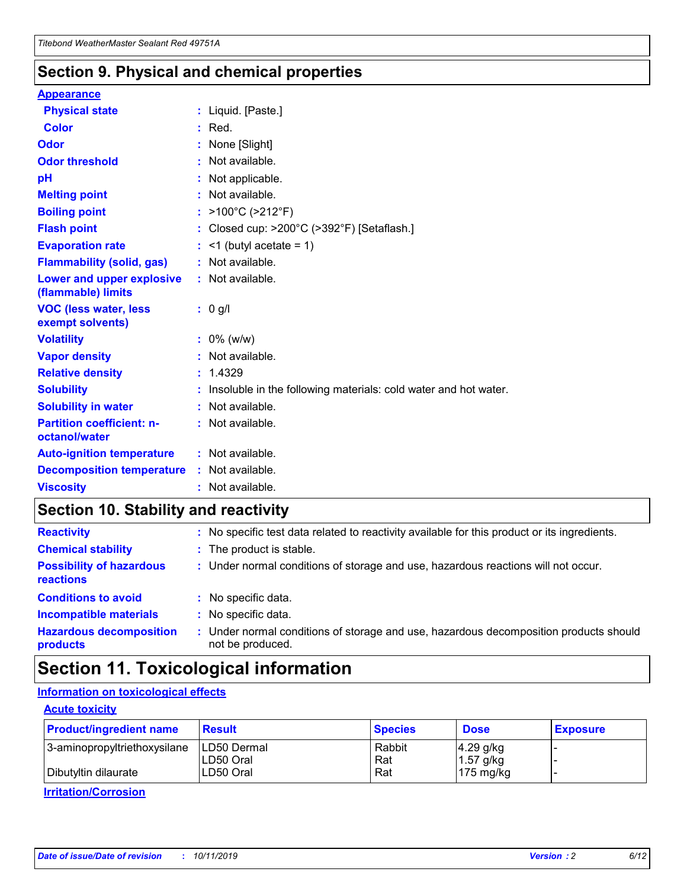### **Section 9. Physical and chemical properties**

#### **Appearance**

| <b>Physical state</b>                             | : Liquid. [Paste.]                                              |
|---------------------------------------------------|-----------------------------------------------------------------|
| Color                                             | $:$ Red.                                                        |
| Odor                                              | : None [Slight]                                                 |
| <b>Odor threshold</b>                             | : Not available.                                                |
| рH                                                | : Not applicable.                                               |
| <b>Melting point</b>                              | : Not available.                                                |
| <b>Boiling point</b>                              | : >100°C (>212°F)                                               |
| <b>Flash point</b>                                | : Closed cup: $>200^{\circ}$ C ( $>392^{\circ}$ F) [Setaflash.] |
| <b>Evaporation rate</b>                           | $:$ <1 (butyl acetate = 1)                                      |
| <b>Flammability (solid, gas)</b>                  | : Not available.                                                |
| Lower and upper explosive<br>(flammable) limits   | : Not available.                                                |
| <b>VOC (less water, less</b><br>exempt solvents)  | : 0 g/l                                                         |
| <b>Volatility</b>                                 | $: 0\%$ (w/w)                                                   |
| <b>Vapor density</b>                              | : Not available.                                                |
| <b>Relative density</b>                           | : 1.4329                                                        |
| <b>Solubility</b>                                 | Insoluble in the following materials: cold water and hot water. |
| <b>Solubility in water</b>                        | : Not available.                                                |
| <b>Partition coefficient: n-</b><br>octanol/water | $:$ Not available.                                              |
| <b>Auto-ignition temperature</b>                  | : Not available.                                                |
| <b>Decomposition temperature</b>                  | : Not available.                                                |
|                                                   |                                                                 |

## **Section 10. Stability and reactivity**

| <b>Reactivity</b>                            |    | : No specific test data related to reactivity available for this product or its ingredients.            |
|----------------------------------------------|----|---------------------------------------------------------------------------------------------------------|
| <b>Chemical stability</b>                    |    | : The product is stable.                                                                                |
| <b>Possibility of hazardous</b><br>reactions |    | : Under normal conditions of storage and use, hazardous reactions will not occur.                       |
| <b>Conditions to avoid</b>                   |    | : No specific data.                                                                                     |
| <b>Incompatible materials</b>                | ٠. | No specific data.                                                                                       |
| <b>Hazardous decomposition</b><br>products   | ÷. | Under normal conditions of storage and use, hazardous decomposition products should<br>not be produced. |

## **Section 11. Toxicological information**

#### **Information on toxicological effects**

#### **Acute toxicity**

| <b>Product/ingredient name</b> | <b>Result</b>           | <b>Species</b> | <b>Dose</b>                | <b>Exposure</b> |
|--------------------------------|-------------------------|----------------|----------------------------|-----------------|
| 3-aminopropyltriethoxysilane   | <b>ILD50 Dermal</b>     | Rabbit         | 4.29 g/kg                  |                 |
| Dibutyltin dilaurate           | ILD50 Oral<br>LD50 Oral | Rat<br>Rat     | $1.57$ g/kg<br>175 $mg/kg$ |                 |
|                                |                         |                |                            |                 |

**Irritation/Corrosion**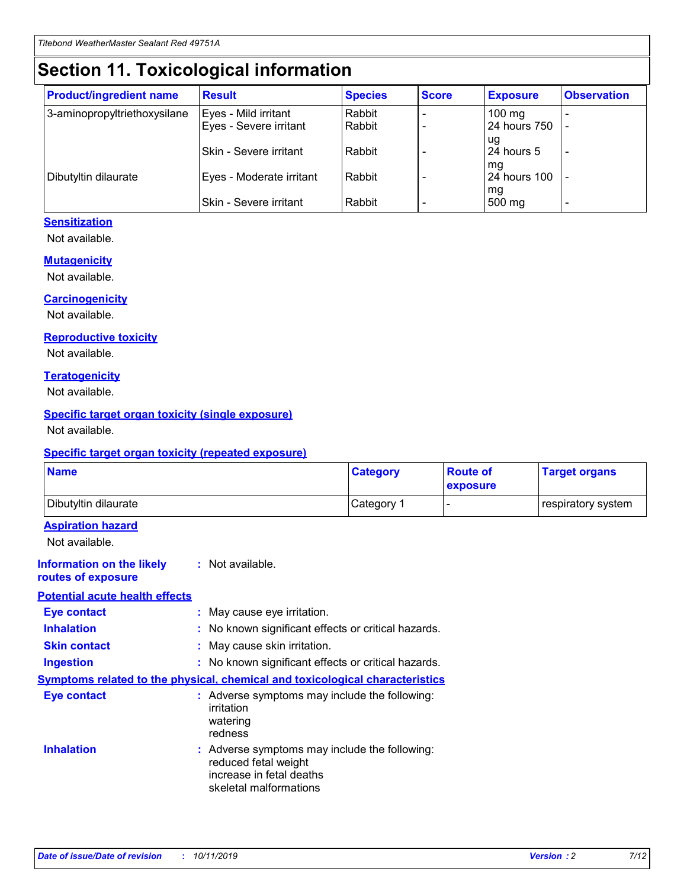## **Section 11. Toxicological information**

| <b>Product/ingredient name</b> | <b>Result</b>            | <b>Species</b> | <b>Score</b> | <b>Exposure</b>           | <b>Observation</b> |
|--------------------------------|--------------------------|----------------|--------------|---------------------------|--------------------|
| 3-aminopropyltriethoxysilane   | Eyes - Mild irritant     | Rabbit         |              | $100$ mg                  |                    |
|                                | Eyes - Severe irritant   | Rabbit         |              | 24 hours 750              |                    |
|                                |                          |                |              | ug                        |                    |
|                                | Skin - Severe irritant   | Rabbit         |              | 24 hours 5                | -                  |
| Dibutyltin dilaurate           | Eyes - Moderate irritant | Rabbit         |              | mq<br><b>24 hours 100</b> |                    |
|                                |                          |                |              | mg                        |                    |
|                                | Skin - Severe irritant   | Rabbit         |              | 500 mg                    |                    |

#### **Sensitization**

Not available.

#### **Mutagenicity**

Not available.

#### **Carcinogenicity**

Not available.

#### **Reproductive toxicity**

Not available.

#### **Teratogenicity**

Not available.

#### **Specific target organ toxicity (single exposure)**

Not available.

#### **Specific target organ toxicity (repeated exposure)**

| <b>Name</b>                                                                  |                                                                                                                             | <b>Category</b> | <b>Route of</b><br>exposure  | <b>Target organs</b> |
|------------------------------------------------------------------------------|-----------------------------------------------------------------------------------------------------------------------------|-----------------|------------------------------|----------------------|
| Dibutyltin dilaurate                                                         |                                                                                                                             | Category 1      | $\qquad \qquad \blacksquare$ | respiratory system   |
| <b>Aspiration hazard</b><br>Not available.                                   |                                                                                                                             |                 |                              |                      |
| <b>Information on the likely</b><br>routes of exposure                       | : Not available.                                                                                                            |                 |                              |                      |
| <b>Potential acute health effects</b>                                        |                                                                                                                             |                 |                              |                      |
| <b>Eye contact</b>                                                           | : May cause eye irritation.                                                                                                 |                 |                              |                      |
| <b>Inhalation</b>                                                            | : No known significant effects or critical hazards.                                                                         |                 |                              |                      |
| <b>Skin contact</b>                                                          | : May cause skin irritation.                                                                                                |                 |                              |                      |
| <b>Ingestion</b>                                                             | : No known significant effects or critical hazards.                                                                         |                 |                              |                      |
| Symptoms related to the physical, chemical and toxicological characteristics |                                                                                                                             |                 |                              |                      |
| <b>Eye contact</b>                                                           | : Adverse symptoms may include the following:<br>irritation<br>watering<br>redness                                          |                 |                              |                      |
| <b>Inhalation</b>                                                            | : Adverse symptoms may include the following:<br>reduced fetal weight<br>increase in fetal deaths<br>skeletal malformations |                 |                              |                      |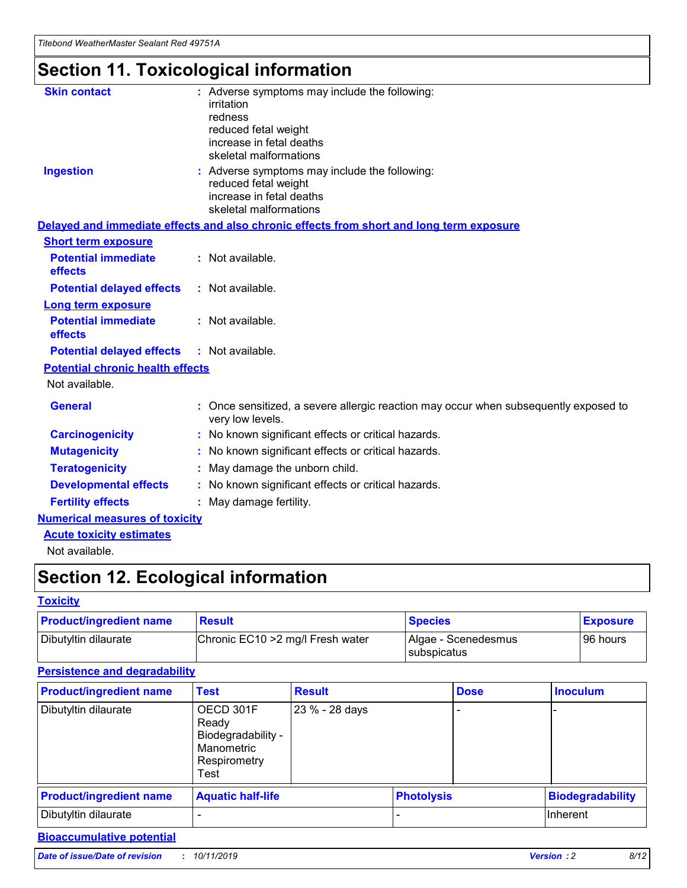## **Section 11. Toxicological information**

| <b>Skin contact</b>                     | : Adverse symptoms may include the following:<br>irritation<br>redness<br>reduced fetal weight<br>increase in fetal deaths<br>skeletal malformations |  |
|-----------------------------------------|------------------------------------------------------------------------------------------------------------------------------------------------------|--|
| <b>Ingestion</b>                        | : Adverse symptoms may include the following:<br>reduced fetal weight<br>increase in fetal deaths<br>skeletal malformations                          |  |
|                                         | Delayed and immediate effects and also chronic effects from short and long term exposure                                                             |  |
| <b>Short term exposure</b>              |                                                                                                                                                      |  |
| <b>Potential immediate</b><br>effects   | : Not available.                                                                                                                                     |  |
| <b>Potential delayed effects</b>        | : Not available.                                                                                                                                     |  |
| <b>Long term exposure</b>               |                                                                                                                                                      |  |
| <b>Potential immediate</b><br>effects   | : Not available.                                                                                                                                     |  |
| <b>Potential delayed effects</b>        | : Not available.                                                                                                                                     |  |
| <b>Potential chronic health effects</b> |                                                                                                                                                      |  |
| Not available.                          |                                                                                                                                                      |  |
| <b>General</b>                          | : Once sensitized, a severe allergic reaction may occur when subsequently exposed to<br>very low levels.                                             |  |
| <b>Carcinogenicity</b>                  | : No known significant effects or critical hazards.                                                                                                  |  |
| <b>Mutagenicity</b>                     | : No known significant effects or critical hazards.                                                                                                  |  |
| <b>Teratogenicity</b>                   | May damage the unborn child.                                                                                                                         |  |
| <b>Developmental effects</b>            | : No known significant effects or critical hazards.                                                                                                  |  |
| <b>Fertility effects</b>                | May damage fertility.                                                                                                                                |  |
| <b>Numerical measures of toxicity</b>   |                                                                                                                                                      |  |
| <b>Acute toxicity estimates</b>         |                                                                                                                                                      |  |
| الملحلة والمستحقق فالمرابط              |                                                                                                                                                      |  |

Not available.

## **Section 12. Ecological information**

#### **Toxicity**

| <b>Product/ingredient name</b> | <b>Result</b>                     | <b>Species</b>                       | <b>Exposure</b> |
|--------------------------------|-----------------------------------|--------------------------------------|-----------------|
| Dibutyltin dilaurate           | Chronic EC10 > 2 mg/l Fresh water | Algae - Scenedesmus<br>I subspicatus | l 96 hours      |

#### **Persistence and degradability**

| <b>Product/ingredient name</b> | <b>Test</b>                                                                    | <b>Result</b>  |                   | <b>Dose</b> | <b>Inoculum</b>         |
|--------------------------------|--------------------------------------------------------------------------------|----------------|-------------------|-------------|-------------------------|
| Dibutyltin dilaurate           | OECD 301F<br>Ready<br>Biodegradability -<br>Manometric<br>Respirometry<br>Test | 23 % - 28 days |                   |             |                         |
| <b>Product/ingredient name</b> | <b>Aquatic half-life</b>                                                       |                | <b>Photolysis</b> |             | <b>Biodegradability</b> |
| Dibutyltin dilaurate           |                                                                                |                |                   |             | Inherent                |

### **Bioaccumulative potential**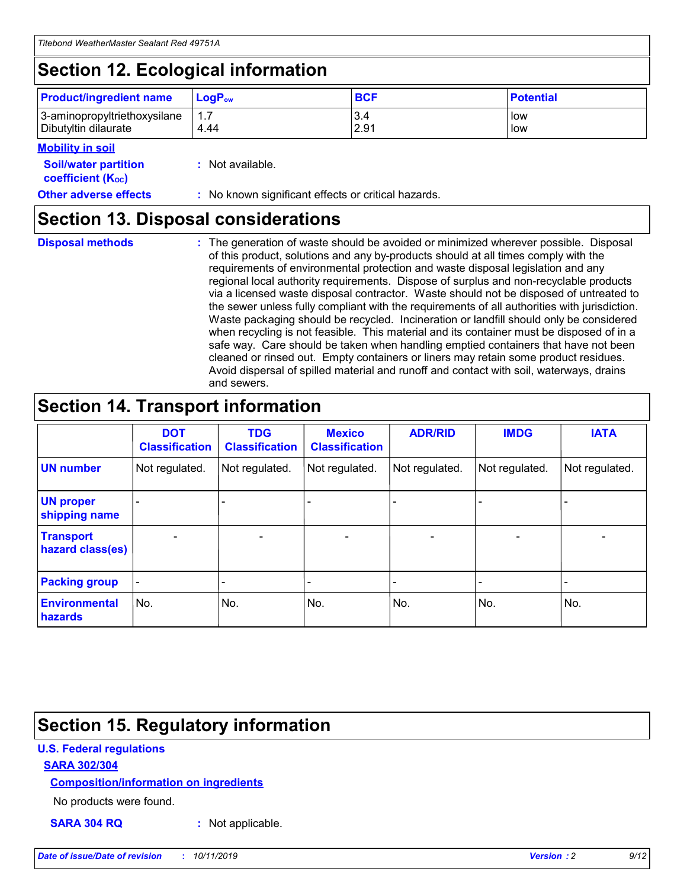## **Section 12. Ecological information**

| <b>Product/ingredient name</b> | $LoaPow$ | <b>BCF</b> | <b>Potential</b> |
|--------------------------------|----------|------------|------------------|
| 3-aminopropyltriethoxysilane   | 1.7      | 3.4        | low              |
| Dibutyltin dilaurate           | 4.44     | 2.91       | low              |

#### **Mobility in soil**

| <b>Soil/water partition</b><br>coefficient (K <sub>oc</sub> ) | : Not available.                                    |
|---------------------------------------------------------------|-----------------------------------------------------|
| <b>Other adverse effects</b>                                  | : No known significant effects or critical hazards. |

### **Section 13. Disposal considerations**

**Disposal methods :**

The generation of waste should be avoided or minimized wherever possible. Disposal of this product, solutions and any by-products should at all times comply with the requirements of environmental protection and waste disposal legislation and any regional local authority requirements. Dispose of surplus and non-recyclable products via a licensed waste disposal contractor. Waste should not be disposed of untreated to the sewer unless fully compliant with the requirements of all authorities with jurisdiction. Waste packaging should be recycled. Incineration or landfill should only be considered when recycling is not feasible. This material and its container must be disposed of in a safe way. Care should be taken when handling emptied containers that have not been cleaned or rinsed out. Empty containers or liners may retain some product residues. Avoid dispersal of spilled material and runoff and contact with soil, waterways, drains and sewers.

## **Section 14. Transport information**

|                                      | <b>DOT</b><br><b>Classification</b> | <b>TDG</b><br><b>Classification</b> | <b>Mexico</b><br><b>Classification</b> | <b>ADR/RID</b>               | <b>IMDG</b>    | <b>IATA</b>              |
|--------------------------------------|-------------------------------------|-------------------------------------|----------------------------------------|------------------------------|----------------|--------------------------|
| <b>UN number</b>                     | Not regulated.                      | Not regulated.                      | Not regulated.                         | Not regulated.               | Not regulated. | Not regulated.           |
| <b>UN proper</b><br>shipping name    |                                     |                                     |                                        |                              |                |                          |
| <b>Transport</b><br>hazard class(es) | $\blacksquare$                      | $\overline{\phantom{0}}$            | $\overline{\phantom{a}}$               | $\qquad \qquad \blacksquare$ | $\blacksquare$ | $\overline{\phantom{0}}$ |
| <b>Packing group</b>                 | $\overline{\phantom{a}}$            | -                                   |                                        | -                            |                | -                        |
| <b>Environmental</b><br>hazards      | No.                                 | No.                                 | No.                                    | No.                          | No.            | No.                      |

## **Section 15. Regulatory information**

#### **U.S. Federal regulations**

#### **SARA 302/304**

#### **Composition/information on ingredients**

No products were found.

**SARA 304 RQ :** Not applicable.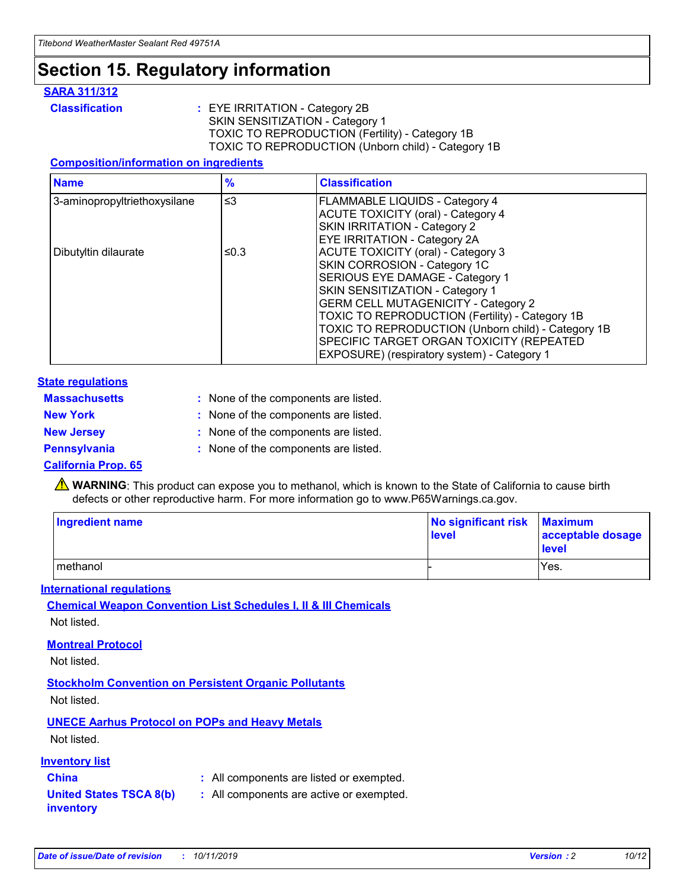## **Section 15. Regulatory information**

#### **SARA 311/312**

**Classification :** EYE IRRITATION - Category 2B SKIN SENSITIZATION - Category 1 TOXIC TO REPRODUCTION (Fertility) - Category 1B TOXIC TO REPRODUCTION (Unborn child) - Category 1B

#### **Composition/information on ingredients**

| <b>Name</b>                  | $\frac{9}{6}$ | <b>Classification</b>                                                                                            |
|------------------------------|---------------|------------------------------------------------------------------------------------------------------------------|
| 3-aminopropyltriethoxysilane | $\leq$ 3      | <b>FLAMMABLE LIQUIDS - Category 4</b><br><b>ACUTE TOXICITY (oral) - Category 4</b>                               |
|                              |               | SKIN IRRITATION - Category 2<br>EYE IRRITATION - Category 2A                                                     |
| Dibutyltin dilaurate         | ≤0.3          | ACUTE TOXICITY (oral) - Category 3<br>SKIN CORROSION - Category 1C                                               |
|                              |               | SERIOUS EYE DAMAGE - Category 1<br>SKIN SENSITIZATION - Category 1<br><b>GERM CELL MUTAGENICITY - Category 2</b> |
|                              |               | TOXIC TO REPRODUCTION (Fertility) - Category 1B<br>TOXIC TO REPRODUCTION (Unborn child) - Category 1B            |
|                              |               | SPECIFIC TARGET ORGAN TOXICITY (REPEATED<br>EXPOSURE) (respiratory system) - Category 1                          |

#### **State regulations**

| <b>Massachusetts</b> | : None of the components are listed. |
|----------------------|--------------------------------------|
| <b>New York</b>      | : None of the components are listed. |
| <b>New Jersey</b>    | : None of the components are listed. |
| Pennsylvania         | : None of the components are listed. |

#### **California Prop. 65**

**A** WARNING: This product can expose you to methanol, which is known to the State of California to cause birth defects or other reproductive harm. For more information go to www.P65Warnings.ca.gov.

| <b>Ingredient name</b> | No significant risk Maximum<br>level | acceptable dosage<br>level |
|------------------------|--------------------------------------|----------------------------|
| methanol               |                                      | Yes.                       |

#### **International regulations**

**Chemical Weapon Convention List Schedules I, II & III Chemicals** Not listed.

#### **Montreal Protocol**

Not listed.

**Stockholm Convention on Persistent Organic Pollutants**

Not listed.

#### **UNECE Aarhus Protocol on POPs and Heavy Metals**

Not listed.

#### **Inventory list**

### **China :** All components are listed or exempted.

**United States TSCA 8(b) inventory :** All components are active or exempted.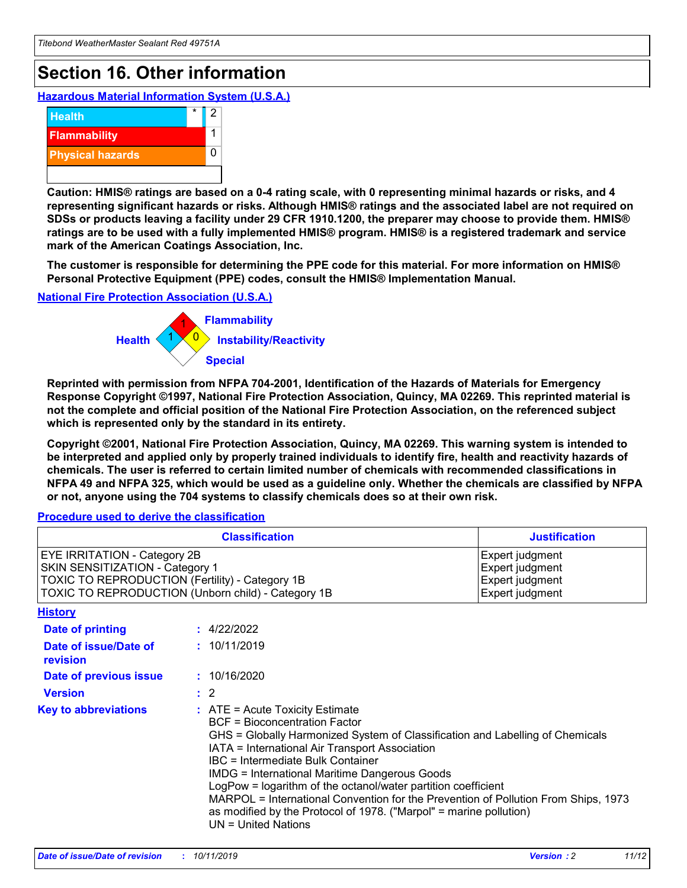## **Section 16. Other information**

**Hazardous Material Information System (U.S.A.)**



**Caution: HMIS® ratings are based on a 0-4 rating scale, with 0 representing minimal hazards or risks, and 4 representing significant hazards or risks. Although HMIS® ratings and the associated label are not required on SDSs or products leaving a facility under 29 CFR 1910.1200, the preparer may choose to provide them. HMIS® ratings are to be used with a fully implemented HMIS® program. HMIS® is a registered trademark and service mark of the American Coatings Association, Inc.**

**The customer is responsible for determining the PPE code for this material. For more information on HMIS® Personal Protective Equipment (PPE) codes, consult the HMIS® Implementation Manual.**

#### **National Fire Protection Association (U.S.A.)**



**Reprinted with permission from NFPA 704-2001, Identification of the Hazards of Materials for Emergency Response Copyright ©1997, National Fire Protection Association, Quincy, MA 02269. This reprinted material is not the complete and official position of the National Fire Protection Association, on the referenced subject which is represented only by the standard in its entirety.**

**Copyright ©2001, National Fire Protection Association, Quincy, MA 02269. This warning system is intended to be interpreted and applied only by properly trained individuals to identify fire, health and reactivity hazards of chemicals. The user is referred to certain limited number of chemicals with recommended classifications in NFPA 49 and NFPA 325, which would be used as a guideline only. Whether the chemicals are classified by NFPA or not, anyone using the 704 systems to classify chemicals does so at their own risk.**

#### **Procedure used to derive the classification**

| <b>Classification</b>                                                                                                                                                                  |                                                                                                                                                                                                                                                                   | <b>Justification</b>                                                                                                                                                                                                                                                                                       |  |
|----------------------------------------------------------------------------------------------------------------------------------------------------------------------------------------|-------------------------------------------------------------------------------------------------------------------------------------------------------------------------------------------------------------------------------------------------------------------|------------------------------------------------------------------------------------------------------------------------------------------------------------------------------------------------------------------------------------------------------------------------------------------------------------|--|
| <b>EYE IRRITATION - Category 2B</b><br>SKIN SENSITIZATION - Category 1<br><b>TOXIC TO REPRODUCTION (Fertility) - Category 1B</b><br>TOXIC TO REPRODUCTION (Unborn child) - Category 1B |                                                                                                                                                                                                                                                                   | Expert judgment<br>Expert judgment<br>Expert judgment<br>Expert judgment                                                                                                                                                                                                                                   |  |
| <b>History</b>                                                                                                                                                                         |                                                                                                                                                                                                                                                                   |                                                                                                                                                                                                                                                                                                            |  |
| Date of printing                                                                                                                                                                       | : 4/22/2022                                                                                                                                                                                                                                                       |                                                                                                                                                                                                                                                                                                            |  |
| Date of issue/Date of<br>revision                                                                                                                                                      | : 10/11/2019                                                                                                                                                                                                                                                      |                                                                                                                                                                                                                                                                                                            |  |
| Date of previous issue                                                                                                                                                                 | : 10/16/2020                                                                                                                                                                                                                                                      |                                                                                                                                                                                                                                                                                                            |  |
| <b>Version</b>                                                                                                                                                                         | $\therefore$ 2                                                                                                                                                                                                                                                    |                                                                                                                                                                                                                                                                                                            |  |
| <b>Key to abbreviations</b>                                                                                                                                                            | $\therefore$ ATE = Acute Toxicity Estimate<br><b>BCF</b> = Bioconcentration Factor<br>IATA = International Air Transport Association<br><b>IBC</b> = Intermediate Bulk Container<br><b>IMDG = International Maritime Dangerous Goods</b><br>$UN = United Nations$ | GHS = Globally Harmonized System of Classification and Labelling of Chemicals<br>LogPow = logarithm of the octanol/water partition coefficient<br>MARPOL = International Convention for the Prevention of Pollution From Ships, 1973<br>as modified by the Protocol of 1978. ("Marpol" = marine pollution) |  |